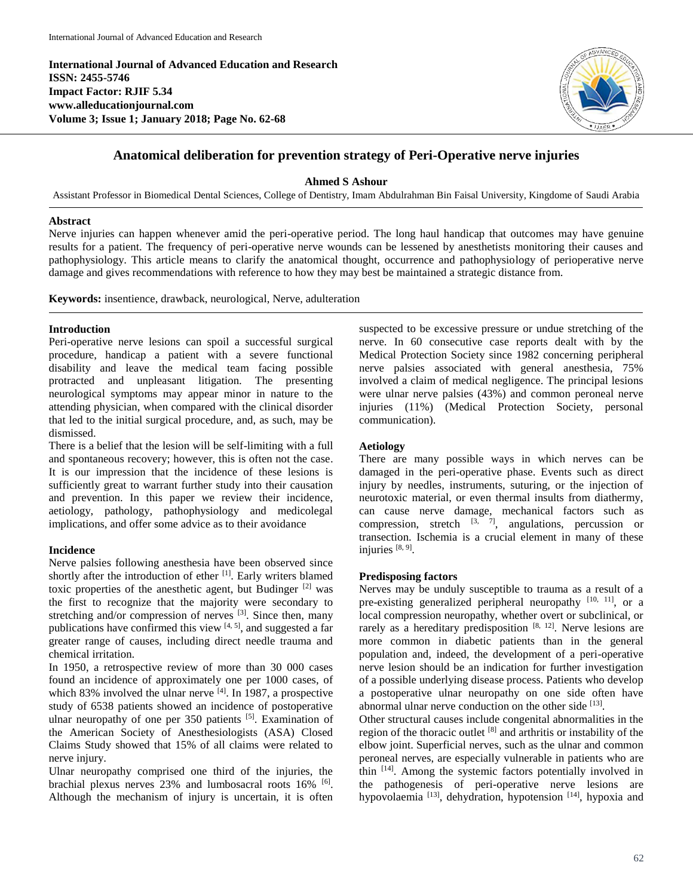**International Journal of Advanced Education and Research ISSN: 2455-5746 Impact Factor: RJIF 5.34 www.alleducationjournal.com Volume 3; Issue 1; January 2018; Page No. 62-68**



# **Anatomical deliberation for prevention strategy of Peri-Operative nerve injuries**

**Ahmed S Ashour**

Assistant Professor in Biomedical Dental Sciences, College of Dentistry, Imam Abdulrahman Bin Faisal University, Kingdome of Saudi Arabia

### **Abstract**

Nerve injuries can happen whenever amid the peri-operative period. The long haul handicap that outcomes may have genuine results for a patient. The frequency of peri-operative nerve wounds can be lessened by anesthetists monitoring their causes and pathophysiology. This article means to clarify the anatomical thought, occurrence and pathophysiology of perioperative nerve damage and gives recommendations with reference to how they may best be maintained a strategic distance from.

**Keywords:** insentience, drawback, neurological, Nerve, adulteration

## **Introduction**

Peri-operative nerve lesions can spoil a successful surgical procedure, handicap a patient with a severe functional disability and leave the medical team facing possible protracted and unpleasant litigation. The presenting neurological symptoms may appear minor in nature to the attending physician, when compared with the clinical disorder that led to the initial surgical procedure, and, as such, may be dismissed.

There is a belief that the lesion will be self-limiting with a full and spontaneous recovery; however, this is often not the case. It is our impression that the incidence of these lesions is sufficiently great to warrant further study into their causation and prevention. In this paper we review their incidence, aetiology, pathology, pathophysiology and medicolegal implications, and offer some advice as to their avoidance

### **Incidence**

Nerve palsies following anesthesia have been observed since shortly after the introduction of ether  $[1]$ . Early writers blamed toxic properties of the anesthetic agent, but Budinger  $[2]$  was the first to recognize that the majority were secondary to stretching and/or compression of nerves [3]. Since then, many publications have confirmed this view  $[4, 5]$ , and suggested a far greater range of causes, including direct needle trauma and chemical irritation.

In 1950, a retrospective review of more than 30 000 cases found an incidence of approximately one per 1000 cases, of which 83% involved the ulnar nerve  $^{[4]}$ . In 1987, a prospective study of 6538 patients showed an incidence of postoperative ulnar neuropathy of one per  $350$  patients <sup>[5]</sup>. Examination of the American Society of Anesthesiologists (ASA) Closed Claims Study showed that 15% of all claims were related to nerve injury.

Ulnar neuropathy comprised one third of the injuries, the brachial plexus nerves 23% and lumbosacral roots 16% <sup>[6]</sup>. Although the mechanism of injury is uncertain, it is often

suspected to be excessive pressure or undue stretching of the nerve. In 60 consecutive case reports dealt with by the Medical Protection Society since 1982 concerning peripheral nerve palsies associated with general anesthesia, 75% involved a claim of medical negligence. The principal lesions were ulnar nerve palsies (43%) and common peroneal nerve injuries (11%) (Medical Protection Society, personal communication).

## **Aetiology**

There are many possible ways in which nerves can be damaged in the peri-operative phase. Events such as direct injury by needles, instruments, suturing, or the injection of neurotoxic material, or even thermal insults from diathermy, can cause nerve damage, mechanical factors such as compression, stretch  $[3, 7]$ , angulations, percussion or transection. Ischemia is a crucial element in many of these injuries [8, 9] .

### **Predisposing factors**

Nerves may be unduly susceptible to trauma as a result of a pre-existing generalized peripheral neuropathy  $[10, 11]$ , or a local compression neuropathy, whether overt or subclinical, or rarely as a hereditary predisposition [8, 12]. Nerve lesions are more common in diabetic patients than in the general population and, indeed, the development of a peri-operative nerve lesion should be an indication for further investigation of a possible underlying disease process. Patients who develop a postoperative ulnar neuropathy on one side often have abnormal ulnar nerve conduction on the other side [13].

Other structural causes include congenital abnormalities in the region of the thoracic outlet [8] and arthritis or instability of the elbow joint. Superficial nerves, such as the ulnar and common peroneal nerves, are especially vulnerable in patients who are thin [14]. Among the systemic factors potentially involved in the pathogenesis of peri-operative nerve lesions are hypovolaemia <sup>[13]</sup>, dehydration, hypotension <sup>[14]</sup>, hypoxia and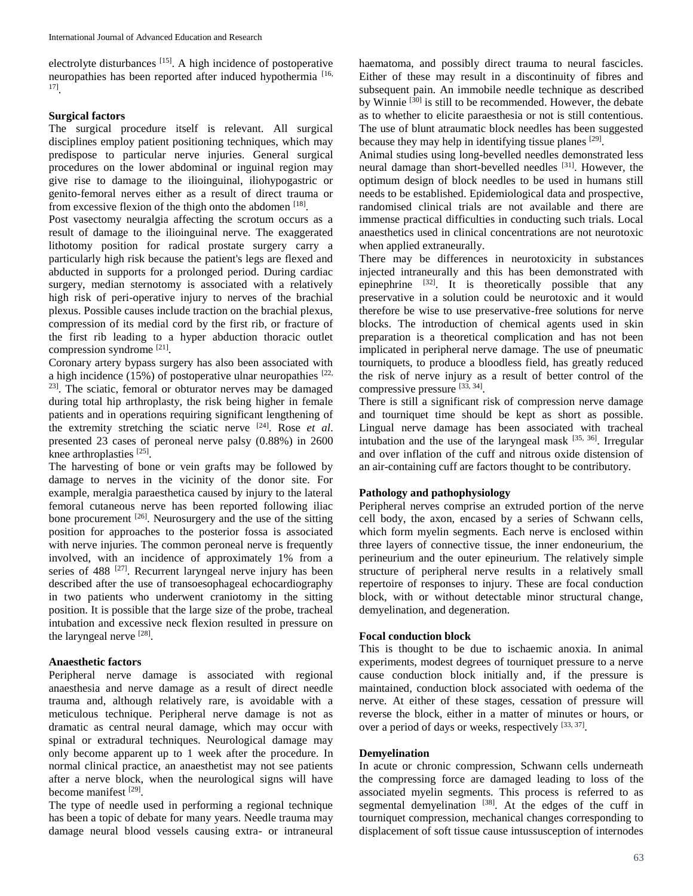electrolyte disturbances [15]. A high incidence of postoperative neuropathies has been reported after induced hypothermia [16, 17] .

## **Surgical factors**

The surgical procedure itself is relevant. All surgical disciplines employ patient positioning techniques, which may predispose to particular nerve injuries. General surgical procedures on the lower abdominal or inguinal region may give rise to damage to the ilioinguinal, iliohypogastric or genito-femoral nerves either as a result of direct trauma or from excessive flexion of the thigh onto the abdomen  $[18]$ .

Post vasectomy neuralgia affecting the scrotum occurs as a result of damage to the ilioinguinal nerve. The exaggerated lithotomy position for radical prostate surgery carry a particularly high risk because the patient's legs are flexed and abducted in supports for a prolonged period. During cardiac surgery, median sternotomy is associated with a relatively high risk of peri-operative injury to nerves of the brachial plexus. Possible causes include traction on the brachial plexus, compression of its medial cord by the first rib, or fracture of the first rib leading to a hyper abduction thoracic outlet compression syndrome [21] .

Coronary artery bypass surgery has also been associated with a high incidence (15%) of postoperative ulnar neuropathies  $[22, 12]$ <sup>23]</sup>. The sciatic, femoral or obturator nerves may be damaged during total hip arthroplasty, the risk being higher in female patients and in operations requiring significant lengthening of the extremity stretching the sciatic nerve [24]. Rose *et al*. presented 23 cases of peroneal nerve palsy (0.88%) in 2600 knee arthroplasties [25].

The harvesting of bone or vein grafts may be followed by damage to nerves in the vicinity of the donor site. For example, meralgia paraesthetica caused by injury to the lateral femoral cutaneous nerve has been reported following iliac bone procurement  $[26]$ . Neurosurgery and the use of the sitting position for approaches to the posterior fossa is associated with nerve injuries. The common peroneal nerve is frequently involved, with an incidence of approximately 1% from a series of  $488$ <sup>[27]</sup>. Recurrent laryngeal nerve injury has been described after the use of transoesophageal echocardiography in two patients who underwent craniotomy in the sitting position. It is possible that the large size of the probe, tracheal intubation and excessive neck flexion resulted in pressure on the laryngeal nerve [28].

## **Anaesthetic factors**

Peripheral nerve damage is associated with regional anaesthesia and nerve damage as a result of direct needle trauma and, although relatively rare, is avoidable with a meticulous technique. Peripheral nerve damage is not as dramatic as central neural damage, which may occur with spinal or extradural techniques. Neurological damage may only become apparent up to 1 week after the procedure. In normal clinical practice, an anaesthetist may not see patients after a nerve block, when the neurological signs will have become manifest [29].

The type of needle used in performing a regional technique has been a topic of debate for many years. Needle trauma may damage neural blood vessels causing extra- or intraneural

haematoma, and possibly direct trauma to neural fascicles. Either of these may result in a discontinuity of fibres and subsequent pain. An immobile needle technique as described by Winnie<sup>[30]</sup> is still to be recommended. However, the debate as to whether to elicite paraesthesia or not is still contentious. The use of blunt atraumatic block needles has been suggested because they may help in identifying tissue planes [29].

Animal studies using long-bevelled needles demonstrated less neural damage than short-bevelled needles [31]. However, the optimum design of block needles to be used in humans still needs to be established. Epidemiological data and prospective, randomised clinical trials are not available and there are immense practical difficulties in conducting such trials. Local anaesthetics used in clinical concentrations are not neurotoxic when applied extraneurally.

There may be differences in neurotoxicity in substances injected intraneurally and this has been demonstrated with epinephrine <sup>[32]</sup>. It is theoretically possible that any preservative in a solution could be neurotoxic and it would therefore be wise to use preservative-free solutions for nerve blocks. The introduction of chemical agents used in skin preparation is a theoretical complication and has not been implicated in peripheral nerve damage. The use of pneumatic tourniquets, to produce a bloodless field, has greatly reduced the risk of nerve injury as a result of better control of the compressive pressure [33, 34].

There is still a significant risk of compression nerve damage and tourniquet time should be kept as short as possible. Lingual nerve damage has been associated with tracheal intubation and the use of the laryngeal mask [35, 36]. Irregular and over inflation of the cuff and nitrous oxide distension of an air-containing cuff are factors thought to be contributory.

## **Pathology and pathophysiology**

Peripheral nerves comprise an extruded portion of the nerve cell body, the axon, encased by a series of Schwann cells, which form myelin segments. Each nerve is enclosed within three layers of connective tissue, the inner endoneurium, the perineurium and the outer epineurium. The relatively simple structure of peripheral nerve results in a relatively small repertoire of responses to injury. These are focal conduction block, with or without detectable minor structural change, demyelination, and degeneration.

### **Focal conduction block**

This is thought to be due to ischaemic anoxia. In animal experiments, modest degrees of tourniquet pressure to a nerve cause conduction block initially and, if the pressure is maintained, conduction block associated with oedema of the nerve. At either of these stages, cessation of pressure will reverse the block, either in a matter of minutes or hours, or over a period of days or weeks, respectively [33, 37].

## **Demyelination**

In acute or chronic compression, Schwann cells underneath the compressing force are damaged leading to loss of the associated myelin segments. This process is referred to as segmental demyelination [38]. At the edges of the cuff in tourniquet compression, mechanical changes corresponding to displacement of soft tissue cause intussusception of internodes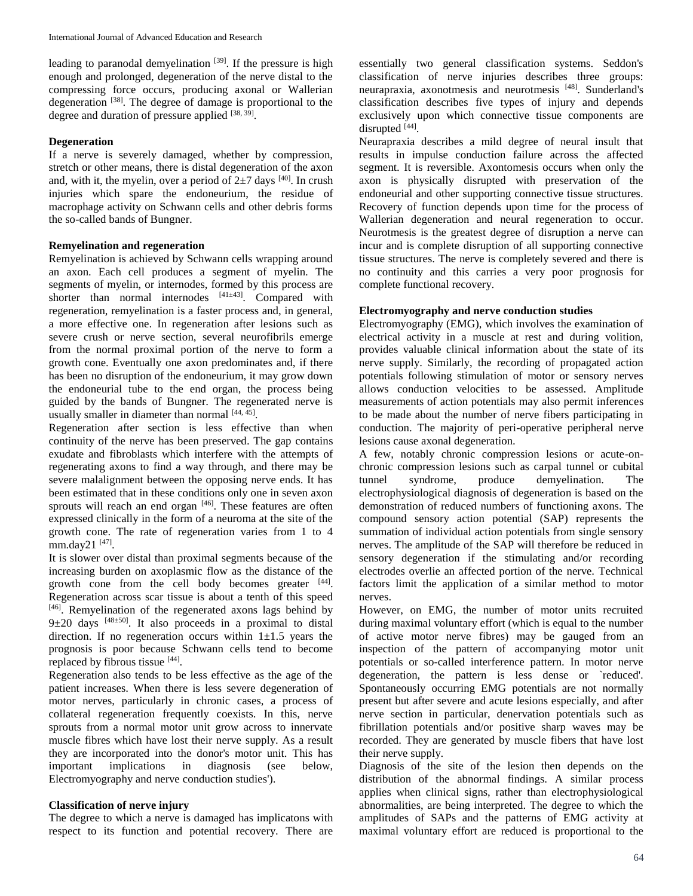leading to paranodal demyelination  $[39]$ . If the pressure is high enough and prolonged, degeneration of the nerve distal to the compressing force occurs, producing axonal or Wallerian degeneration [38]. The degree of damage is proportional to the degree and duration of pressure applied [38, 39].

## **Degeneration**

If a nerve is severely damaged, whether by compression, stretch or other means, there is distal degeneration of the axon and, with it, the myelin, over a period of  $2\pm7$  days [40]. In crush injuries which spare the endoneurium, the residue of macrophage activity on Schwann cells and other debris forms the so-called bands of Bungner.

## **Remyelination and regeneration**

Remyelination is achieved by Schwann cells wrapping around an axon. Each cell produces a segment of myelin. The segments of myelin, or internodes, formed by this process are shorter than normal internodes  $[41\pm43]$ . Compared with regeneration, remyelination is a faster process and, in general, a more effective one. In regeneration after lesions such as severe crush or nerve section, several neurofibrils emerge from the normal proximal portion of the nerve to form a growth cone. Eventually one axon predominates and, if there has been no disruption of the endoneurium, it may grow down the endoneurial tube to the end organ, the process being guided by the bands of Bungner. The regenerated nerve is usually smaller in diameter than normal  $[44, 45]$ .

Regeneration after section is less effective than when continuity of the nerve has been preserved. The gap contains exudate and fibroblasts which interfere with the attempts of regenerating axons to find a way through, and there may be severe malalignment between the opposing nerve ends. It has been estimated that in these conditions only one in seven axon sprouts will reach an end organ  $[46]$ . These features are often expressed clinically in the form of a neuroma at the site of the growth cone. The rate of regeneration varies from 1 to 4 mm.day21 [47].

It is slower over distal than proximal segments because of the increasing burden on axoplasmic flow as the distance of the growth cone from the cell body becomes greater [44]. Regeneration across scar tissue is about a tenth of this speed [46]. Remyelination of the regenerated axons lags behind by  $9\pm20$  days  $^{[48\pm50]}$ . It also proceeds in a proximal to distal direction. If no regeneration occurs within  $1\pm 1.5$  years the prognosis is poor because Schwann cells tend to become replaced by fibrous tissue [44].

Regeneration also tends to be less effective as the age of the patient increases. When there is less severe degeneration of motor nerves, particularly in chronic cases, a process of collateral regeneration frequently coexists. In this, nerve sprouts from a normal motor unit grow across to innervate muscle fibres which have lost their nerve supply. As a result they are incorporated into the donor's motor unit. This has important implications in diagnosis (see below, Electromyography and nerve conduction studies').

## **Classification of nerve injury**

The degree to which a nerve is damaged has implicatons with respect to its function and potential recovery. There are

essentially two general classification systems. Seddon's classification of nerve injuries describes three groups: neurapraxia, axonotmesis and neurotmesis [48]. Sunderland's classification describes five types of injury and depends exclusively upon which connective tissue components are disrupted [44].

Neurapraxia describes a mild degree of neural insult that results in impulse conduction failure across the affected segment. It is reversible. Axontomesis occurs when only the axon is physically disrupted with preservation of the endoneurial and other supporting connective tissue structures. Recovery of function depends upon time for the process of Wallerian degeneration and neural regeneration to occur. Neurotmesis is the greatest degree of disruption a nerve can incur and is complete disruption of all supporting connective tissue structures. The nerve is completely severed and there is no continuity and this carries a very poor prognosis for complete functional recovery.

## **Electromyography and nerve conduction studies**

Electromyography (EMG), which involves the examination of electrical activity in a muscle at rest and during volition, provides valuable clinical information about the state of its nerve supply. Similarly, the recording of propagated action potentials following stimulation of motor or sensory nerves allows conduction velocities to be assessed. Amplitude measurements of action potentials may also permit inferences to be made about the number of nerve fibers participating in conduction. The majority of peri-operative peripheral nerve lesions cause axonal degeneration.

A few, notably chronic compression lesions or acute-onchronic compression lesions such as carpal tunnel or cubital<br>tunnel syndrome, produce demyelination. The tunnel syndrome, produce demyelination. The electrophysiological diagnosis of degeneration is based on the demonstration of reduced numbers of functioning axons. The compound sensory action potential (SAP) represents the summation of individual action potentials from single sensory nerves. The amplitude of the SAP will therefore be reduced in sensory degeneration if the stimulating and/or recording electrodes overlie an affected portion of the nerve. Technical factors limit the application of a similar method to motor nerves.

However, on EMG, the number of motor units recruited during maximal voluntary effort (which is equal to the number of active motor nerve fibres) may be gauged from an inspection of the pattern of accompanying motor unit potentials or so-called interference pattern. In motor nerve degeneration, the pattern is less dense or `reduced'. Spontaneously occurring EMG potentials are not normally present but after severe and acute lesions especially, and after nerve section in particular, denervation potentials such as fibrillation potentials and/or positive sharp waves may be recorded. They are generated by muscle fibers that have lost their nerve supply.

Diagnosis of the site of the lesion then depends on the distribution of the abnormal findings. A similar process applies when clinical signs, rather than electrophysiological abnormalities, are being interpreted. The degree to which the amplitudes of SAPs and the patterns of EMG activity at maximal voluntary effort are reduced is proportional to the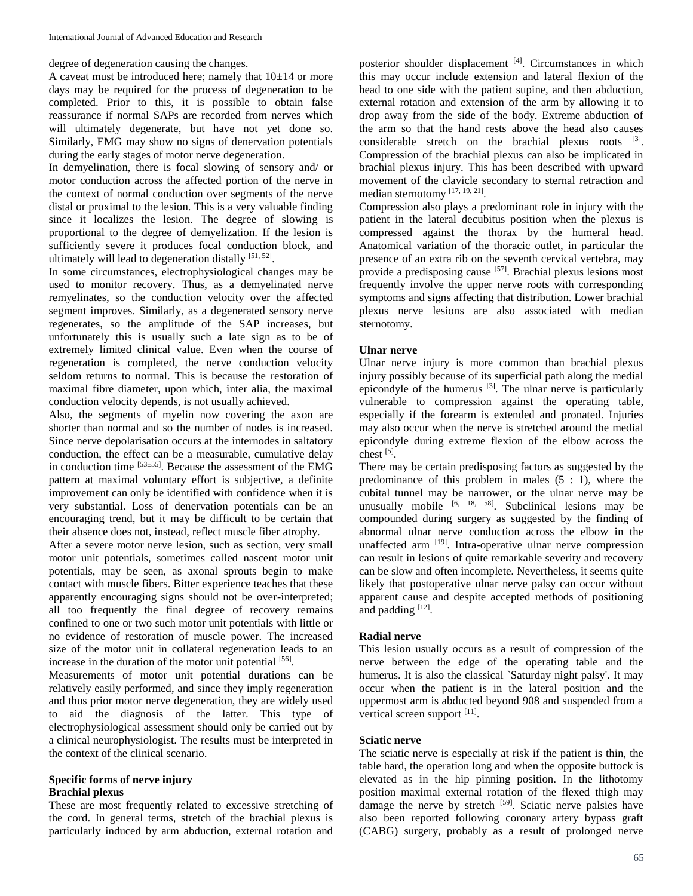degree of degeneration causing the changes.

A caveat must be introduced here; namely that  $10±14$  or more days may be required for the process of degeneration to be completed. Prior to this, it is possible to obtain false reassurance if normal SAPs are recorded from nerves which will ultimately degenerate, but have not yet done so. Similarly, EMG may show no signs of denervation potentials during the early stages of motor nerve degeneration.

In demyelination, there is focal slowing of sensory and/ or motor conduction across the affected portion of the nerve in the context of normal conduction over segments of the nerve distal or proximal to the lesion. This is a very valuable finding since it localizes the lesion. The degree of slowing is proportional to the degree of demyelization. If the lesion is sufficiently severe it produces focal conduction block, and ultimately will lead to degeneration distally  $[51, 52]$ .

In some circumstances, electrophysiological changes may be used to monitor recovery. Thus, as a demyelinated nerve remyelinates, so the conduction velocity over the affected segment improves. Similarly, as a degenerated sensory nerve regenerates, so the amplitude of the SAP increases, but unfortunately this is usually such a late sign as to be of extremely limited clinical value. Even when the course of regeneration is completed, the nerve conduction velocity seldom returns to normal. This is because the restoration of maximal fibre diameter, upon which, inter alia, the maximal conduction velocity depends, is not usually achieved.

Also, the segments of myelin now covering the axon are shorter than normal and so the number of nodes is increased. Since nerve depolarisation occurs at the internodes in saltatory conduction, the effect can be a measurable, cumulative delay in conduction time [53±55]. Because the assessment of the EMG pattern at maximal voluntary effort is subjective, a definite improvement can only be identified with confidence when it is very substantial. Loss of denervation potentials can be an encouraging trend, but it may be difficult to be certain that their absence does not, instead, reflect muscle fiber atrophy.

After a severe motor nerve lesion, such as section, very small motor unit potentials, sometimes called nascent motor unit potentials, may be seen, as axonal sprouts begin to make contact with muscle fibers. Bitter experience teaches that these apparently encouraging signs should not be over-interpreted; all too frequently the final degree of recovery remains confined to one or two such motor unit potentials with little or no evidence of restoration of muscle power. The increased size of the motor unit in collateral regeneration leads to an increase in the duration of the motor unit potential [56].

Measurements of motor unit potential durations can be relatively easily performed, and since they imply regeneration and thus prior motor nerve degeneration, they are widely used to aid the diagnosis of the latter. This type of electrophysiological assessment should only be carried out by a clinical neurophysiologist. The results must be interpreted in the context of the clinical scenario.

### **Specific forms of nerve injury Brachial plexus**

These are most frequently related to excessive stretching of the cord. In general terms, stretch of the brachial plexus is particularly induced by arm abduction, external rotation and

posterior shoulder displacement [4]. Circumstances in which this may occur include extension and lateral flexion of the head to one side with the patient supine, and then abduction, external rotation and extension of the arm by allowing it to drop away from the side of the body. Extreme abduction of the arm so that the hand rests above the head also causes considerable stretch on the brachial plexus roots <sup>[3]</sup>. Compression of the brachial plexus can also be implicated in brachial plexus injury. This has been described with upward movement of the clavicle secondary to sternal retraction and median sternotomy [17, 19, 21].

Compression also plays a predominant role in injury with the patient in the lateral decubitus position when the plexus is compressed against the thorax by the humeral head. Anatomical variation of the thoracic outlet, in particular the presence of an extra rib on the seventh cervical vertebra, may provide a predisposing cause [57]. Brachial plexus lesions most frequently involve the upper nerve roots with corresponding symptoms and signs affecting that distribution. Lower brachial plexus nerve lesions are also associated with median sternotomy.

### **Ulnar nerve**

Ulnar nerve injury is more common than brachial plexus injury possibly because of its superficial path along the medial epicondyle of the humerus  $[3]$ . The ulnar nerve is particularly vulnerable to compression against the operating table, especially if the forearm is extended and pronated. Injuries may also occur when the nerve is stretched around the medial epicondyle during extreme flexion of the elbow across the chest  $^{[5]}$ .

There may be certain predisposing factors as suggested by the predominance of this problem in males (5 : 1), where the cubital tunnel may be narrower, or the ulnar nerve may be unusually mobile  $[6, 18, 58]$ . Subclinical lesions may be compounded during surgery as suggested by the finding of abnormal ulnar nerve conduction across the elbow in the unaffected arm [19]. Intra-operative ulnar nerve compression can result in lesions of quite remarkable severity and recovery can be slow and often incomplete. Nevertheless, it seems quite likely that postoperative ulnar nerve palsy can occur without apparent cause and despite accepted methods of positioning and padding  $[12]$ .

### **Radial nerve**

This lesion usually occurs as a result of compression of the nerve between the edge of the operating table and the humerus. It is also the classical `Saturday night palsy'. It may occur when the patient is in the lateral position and the uppermost arm is abducted beyond 908 and suspended from a vertical screen support [11].

#### **Sciatic nerve**

The sciatic nerve is especially at risk if the patient is thin, the table hard, the operation long and when the opposite buttock is elevated as in the hip pinning position. In the lithotomy position maximal external rotation of the flexed thigh may damage the nerve by stretch [59]. Sciatic nerve palsies have also been reported following coronary artery bypass graft (CABG) surgery, probably as a result of prolonged nerve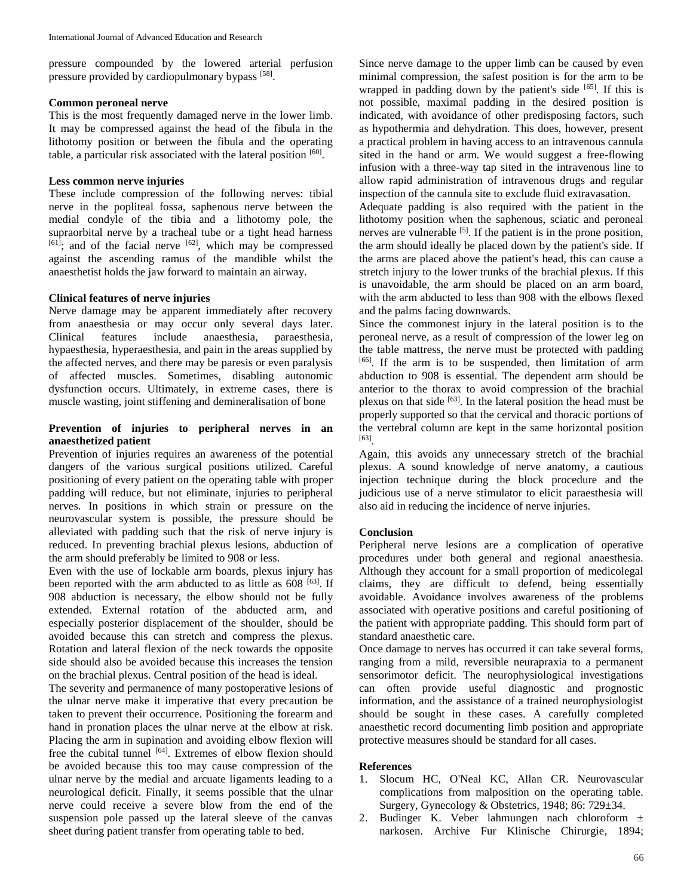pressure compounded by the lowered arterial perfusion pressure provided by cardiopulmonary bypass [58].

### **Common peroneal nerve**

This is the most frequently damaged nerve in the lower limb. It may be compressed against the head of the fibula in the lithotomy position or between the fibula and the operating table, a particular risk associated with the lateral position [60].

### **Less common nerve injuries**

These include compression of the following nerves: tibial nerve in the popliteal fossa, saphenous nerve between the medial condyle of the tibia and a lithotomy pole, the supraorbital nerve by a tracheal tube or a tight head harness [61], and of the facial nerve [62], which may be compressed against the ascending ramus of the mandible whilst the anaesthetist holds the jaw forward to maintain an airway.

#### **Clinical features of nerve injuries**

Nerve damage may be apparent immediately after recovery from anaesthesia or may occur only several days later. Clinical features include anaesthesia, paraesthesia, hypaesthesia, hyperaesthesia, and pain in the areas supplied by the affected nerves, and there may be paresis or even paralysis of affected muscles. Sometimes, disabling autonomic dysfunction occurs. Ultimately, in extreme cases, there is muscle wasting, joint stiffening and demineralisation of bone

## **Prevention of injuries to peripheral nerves in an anaesthetized patient**

Prevention of injuries requires an awareness of the potential dangers of the various surgical positions utilized. Careful positioning of every patient on the operating table with proper padding will reduce, but not eliminate, injuries to peripheral nerves. In positions in which strain or pressure on the neurovascular system is possible, the pressure should be alleviated with padding such that the risk of nerve injury is reduced. In preventing brachial plexus lesions, abduction of the arm should preferably be limited to 908 or less.

Even with the use of lockable arm boards, plexus injury has been reported with the arm abducted to as little as  $608^{[63]}$ . If 908 abduction is necessary, the elbow should not be fully extended. External rotation of the abducted arm, and especially posterior displacement of the shoulder, should be avoided because this can stretch and compress the plexus. Rotation and lateral flexion of the neck towards the opposite side should also be avoided because this increases the tension on the brachial plexus. Central position of the head is ideal.

The severity and permanence of many postoperative lesions of the ulnar nerve make it imperative that every precaution be taken to prevent their occurrence. Positioning the forearm and hand in pronation places the ulnar nerve at the elbow at risk. Placing the arm in supination and avoiding elbow flexion will free the cubital tunnel [64]. Extremes of elbow flexion should be avoided because this too may cause compression of the ulnar nerve by the medial and arcuate ligaments leading to a neurological deficit. Finally, it seems possible that the ulnar nerve could receive a severe blow from the end of the suspension pole passed up the lateral sleeve of the canvas sheet during patient transfer from operating table to bed.

Since nerve damage to the upper limb can be caused by even minimal compression, the safest position is for the arm to be wrapped in padding down by the patient's side  $[65]$ . If this is not possible, maximal padding in the desired position is indicated, with avoidance of other predisposing factors, such as hypothermia and dehydration. This does, however, present a practical problem in having access to an intravenous cannula sited in the hand or arm. We would suggest a free-flowing infusion with a three-way tap sited in the intravenous line to allow rapid administration of intravenous drugs and regular inspection of the cannula site to exclude fluid extravasation.

Adequate padding is also required with the patient in the lithotomy position when the saphenous, sciatic and peroneal nerves are vulnerable <sup>[5]</sup>. If the patient is in the prone position, the arm should ideally be placed down by the patient's side. If the arms are placed above the patient's head, this can cause a stretch injury to the lower trunks of the brachial plexus. If this is unavoidable, the arm should be placed on an arm board, with the arm abducted to less than 908 with the elbows flexed and the palms facing downwards.

Since the commonest injury in the lateral position is to the peroneal nerve, as a result of compression of the lower leg on the table mattress, the nerve must be protected with padding [66]. If the arm is to be suspended, then limitation of arm abduction to 908 is essential. The dependent arm should be anterior to the thorax to avoid compression of the brachial plexus on that side [63]. In the lateral position the head must be properly supported so that the cervical and thoracic portions of the vertebral column are kept in the same horizontal position [63] .

Again, this avoids any unnecessary stretch of the brachial plexus. A sound knowledge of nerve anatomy, a cautious injection technique during the block procedure and the judicious use of a nerve stimulator to elicit paraesthesia will also aid in reducing the incidence of nerve injuries.

### **Conclusion**

Peripheral nerve lesions are a complication of operative procedures under both general and regional anaesthesia. Although they account for a small proportion of medicolegal claims, they are difficult to defend, being essentially avoidable. Avoidance involves awareness of the problems associated with operative positions and careful positioning of the patient with appropriate padding. This should form part of standard anaesthetic care.

Once damage to nerves has occurred it can take several forms, ranging from a mild, reversible neurapraxia to a permanent sensorimotor deficit. The neurophysiological investigations can often provide useful diagnostic and prognostic information, and the assistance of a trained neurophysiologist should be sought in these cases. A carefully completed anaesthetic record documenting limb position and appropriate protective measures should be standard for all cases.

#### **References**

- 1. Slocum HC, O'Neal KC, Allan CR. Neurovascular complications from malposition on the operating table. Surgery, Gynecology & Obstetrics, 1948; 86: 729±34.
- 2. Budinger K. Veber lahmungen nach chloroform ± narkosen. Archive Fur Klinische Chirurgie, 1894;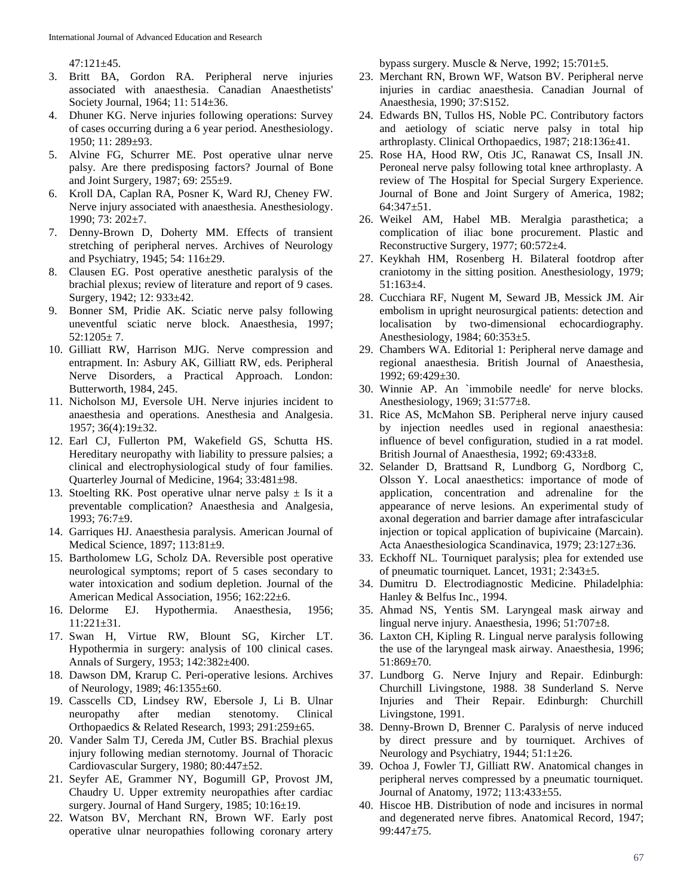47:121±45.

- 3. Britt BA, Gordon RA. Peripheral nerve injuries associated with anaesthesia. Canadian Anaesthetists' Society Journal, 1964; 11: 514±36.
- 4. Dhuner KG. Nerve injuries following operations: Survey of cases occurring during a 6 year period. Anesthesiology. 1950; 11: 289±93.
- 5. Alvine FG, Schurrer ME. Post operative ulnar nerve palsy. Are there predisposing factors? Journal of Bone and Joint Surgery, 1987; 69: 255±9.
- 6. Kroll DA, Caplan RA, Posner K, Ward RJ, Cheney FW. Nerve injury associated with anaesthesia. Anesthesiology. 1990; 73: 202±7.
- 7. Denny-Brown D, Doherty MM. Effects of transient stretching of peripheral nerves. Archives of Neurology and Psychiatry, 1945; 54: 116±29.
- 8. Clausen EG. Post operative anesthetic paralysis of the brachial plexus; review of literature and report of 9 cases. Surgery, 1942; 12: 933±42.
- 9. Bonner SM, Pridie AK. Sciatic nerve palsy following uneventful sciatic nerve block. Anaesthesia, 1997;  $52:1205 \pm 7$ .
- 10. Gilliatt RW, Harrison MJG. Nerve compression and entrapment. In: Asbury AK, Gilliatt RW, eds. Peripheral Nerve Disorders, a Practical Approach. London: Butterworth, 1984, 245.
- 11. Nicholson MJ, Eversole UH. Nerve injuries incident to anaesthesia and operations. Anesthesia and Analgesia. 1957; 36(4):19±32.
- 12. Earl CJ, Fullerton PM, Wakefield GS, Schutta HS. Hereditary neuropathy with liability to pressure palsies; a clinical and electrophysiological study of four families. Quarterley Journal of Medicine, 1964; 33:481±98.
- 13. Stoelting RK. Post operative ulnar nerve palsy  $\pm$  Is it a preventable complication? Anaesthesia and Analgesia, 1993; 76:7±9.
- 14. Garriques HJ. Anaesthesia paralysis. American Journal of Medical Science, 1897; 113:81±9.
- 15. Bartholomew LG, Scholz DA. Reversible post operative neurological symptoms; report of 5 cases secondary to water intoxication and sodium depletion. Journal of the American Medical Association, 1956; 162:22±6.
- 16. Delorme EJ. Hypothermia. Anaesthesia, 1956; 11:221±31.
- 17. Swan H, Virtue RW, Blount SG, Kircher LT. Hypothermia in surgery: analysis of 100 clinical cases. Annals of Surgery, 1953; 142:382±400.
- 18. Dawson DM, Krarup C. Peri-operative lesions. Archives of Neurology, 1989; 46:1355±60.
- 19. Casscells CD, Lindsey RW, Ebersole J, Li B. Ulnar neuropathy after median stenotomy. Clinical Orthopaedics & Related Research, 1993; 291:259±65.
- 20. Vander Salm TJ, Cereda JM, Cutler BS. Brachial plexus injury following median sternotomy. Journal of Thoracic Cardiovascular Surgery, 1980; 80:447±52.
- 21. Seyfer AE, Grammer NY, Bogumill GP, Provost JM, Chaudry U. Upper extremity neuropathies after cardiac surgery. Journal of Hand Surgery, 1985; 10:16±19.
- 22. Watson BV, Merchant RN, Brown WF. Early post operative ulnar neuropathies following coronary artery

bypass surgery. Muscle & Nerve, 1992; 15:701±5.

- 23. Merchant RN, Brown WF, Watson BV. Peripheral nerve injuries in cardiac anaesthesia. Canadian Journal of Anaesthesia, 1990; 37:S152.
- 24. Edwards BN, Tullos HS, Noble PC. Contributory factors and aetiology of sciatic nerve palsy in total hip arthroplasty. Clinical Orthopaedics, 1987; 218:136±41.
- 25. Rose HA, Hood RW, Otis JC, Ranawat CS, Insall JN. Peroneal nerve palsy following total knee arthroplasty. A review of The Hospital for Special Surgery Experience. Journal of Bone and Joint Surgery of America, 1982; 64:347±51.
- 26. Weikel AM, Habel MB. Meralgia parasthetica; a complication of iliac bone procurement. Plastic and Reconstructive Surgery, 1977; 60:572±4.
- 27. Keykhah HM, Rosenberg H. Bilateral footdrop after craniotomy in the sitting position. Anesthesiology, 1979; 51:163±4.
- 28. Cucchiara RF, Nugent M, Seward JB, Messick JM. Air embolism in upright neurosurgical patients: detection and localisation by two-dimensional echocardiography. Anesthesiology, 1984; 60:353±5.
- 29. Chambers WA. Editorial 1: Peripheral nerve damage and regional anaesthesia. British Journal of Anaesthesia, 1992; 69:429±30.
- 30. Winnie AP. An `immobile needle' for nerve blocks. Anesthesiology, 1969; 31:577±8.
- 31. Rice AS, McMahon SB. Peripheral nerve injury caused by injection needles used in regional anaesthesia: influence of bevel configuration, studied in a rat model. British Journal of Anaesthesia, 1992; 69:433±8.
- 32. Selander D, Brattsand R, Lundborg G, Nordborg C, Olsson Y. Local anaesthetics: importance of mode of application, concentration and adrenaline for the appearance of nerve lesions. An experimental study of axonal degeration and barrier damage after intrafascicular injection or topical application of bupivicaine (Marcain). Acta Anaesthesiologica Scandinavica, 1979; 23:127±36.
- 33. Eckhoff NL. Tourniquet paralysis; plea for extended use of pneumatic tourniquet. Lancet, 1931; 2:343±5.
- 34. Dumitru D. Electrodiagnostic Medicine. Philadelphia: Hanley & Belfus Inc., 1994.
- 35. Ahmad NS, Yentis SM. Laryngeal mask airway and lingual nerve injury. Anaesthesia, 1996; 51:707±8.
- 36. Laxton CH, Kipling R. Lingual nerve paralysis following the use of the laryngeal mask airway. Anaesthesia, 1996; 51:869±70.
- 37. Lundborg G. Nerve Injury and Repair. Edinburgh: Churchill Livingstone, 1988. 38 Sunderland S. Nerve Injuries and Their Repair. Edinburgh: Churchill Livingstone, 1991.
- 38. Denny-Brown D, Brenner C. Paralysis of nerve induced by direct pressure and by tourniquet. Archives of Neurology and Psychiatry, 1944; 51:1±26.
- 39. Ochoa J, Fowler TJ, Gilliatt RW. Anatomical changes in peripheral nerves compressed by a pneumatic tourniquet. Journal of Anatomy, 1972; 113:433±55.
- 40. Hiscoe HB. Distribution of node and incisures in normal and degenerated nerve fibres. Anatomical Record, 1947; 99:447±75.